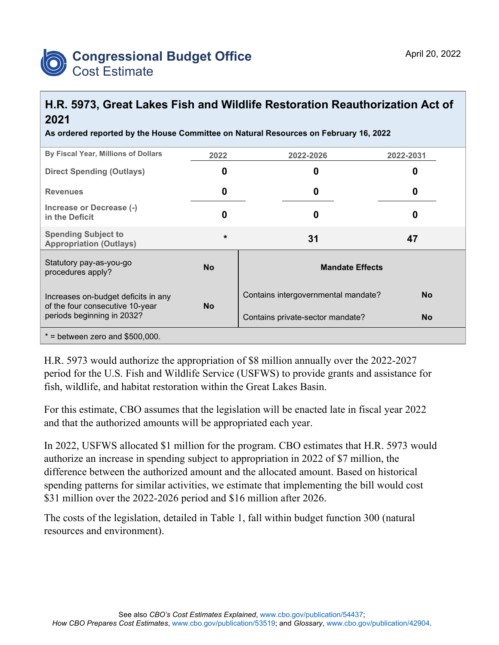

## **H.R. 5973, Great Lakes Fish and Wildlife Restoration Reauthorization Act of 2021**

**As ordered reported by the House Committee on Natural Resources on February 16, 2022**

| By Fiscal Year, Millions of Dollars                                    | 2022      | 2022-2026                                        | 2022-2031 |  |  |  |
|------------------------------------------------------------------------|-----------|--------------------------------------------------|-----------|--|--|--|
| <b>Direct Spending (Outlays)</b>                                       | O         | 0                                                | 0         |  |  |  |
| <b>Revenues</b>                                                        | 0         | 0                                                | 0         |  |  |  |
| Increase or Decrease (-)<br>in the Deficit                             | 0         | 0                                                | 0         |  |  |  |
| <b>Spending Subject to</b><br><b>Appropriation (Outlays)</b>           | $\star$   | 31                                               | 47        |  |  |  |
| Statutory pay-as-you-go<br>procedures apply?                           | <b>No</b> | <b>Mandate Effects</b>                           |           |  |  |  |
| Increases on-budget deficits in any<br>of the four consecutive 10-year | <b>No</b> | Contains intergovernmental mandate?<br><b>No</b> |           |  |  |  |
| periods beginning in 2032?                                             |           | Contains private-sector mandate?                 | <b>No</b> |  |  |  |
| $*$ = between zero and \$500,000.                                      |           |                                                  |           |  |  |  |

H.R. 5973 would authorize the appropriation of \$8 million annually over the 2022-2027 period for the U.S. Fish and Wildlife Service (USFWS) to provide grants and assistance for fish, wildlife, and habitat restoration within the Great Lakes Basin.

For this estimate, CBO assumes that the legislation will be enacted late in fiscal year 2022 and that the authorized amounts will be appropriated each year.

In 2022, USFWS allocated \$1 million for the program. CBO estimates that H.R. 5973 would authorize an increase in spending subject to appropriation in 2022 of \$7 million, the difference between the authorized amount and the allocated amount. Based on historical spending patterns for similar activities, we estimate that implementing the bill would cost \$31 million over the 2022-2026 period and \$16 million after 2026.

The costs of the legislation, detailed in Table 1, fall within budget function 300 (natural resources and environment).